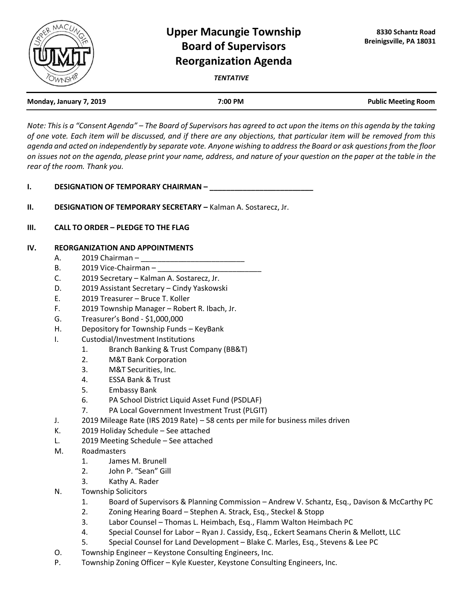

## **Upper Macungie Township Board of Supervisors Reorganization Agenda**

*TENTATIVE*

| Monday, January 7, 2019 | 7:00 PM | <b>Public Meeting Room</b> |
|-------------------------|---------|----------------------------|
|                         |         |                            |

*Note: This is a "Consent Agenda" – The Board of Supervisors has agreed to act upon the items on this agenda by the taking of one vote. Each item will be discussed, and if there are any objections, that particular item will be removed from this agenda and acted on independently by separate vote. Anyone wishing to address the Board or ask questions from the floor on issues not on the agenda, please print your name, address, and nature of your question on the paper at the table in the rear of the room. Thank you.*

- **I. DESIGNATION OF TEMPORARY CHAIRMAN \_\_\_**
- **II. DESIGNATION OF TEMPORARY SECRETARY Kalman A. Sostarecz, Jr.**
- **III. CALL TO ORDER – PLEDGE TO THE FLAG**

## **IV. REORGANIZATION AND APPOINTMENTS**

- A. 2019 Chairman –
- B. 2019 Vice-Chairman –
- C. 2019 Secretary Kalman A. Sostarecz, Jr.
- D. 2019 Assistant Secretary Cindy Yaskowski
- E. 2019 Treasurer Bruce T. Koller
- F. 2019 Township Manager Robert R. Ibach, Jr.
- G. Treasurer's Bond \$1,000,000
- H. Depository for Township Funds KeyBank
- I. Custodial/Investment Institutions
	- 1. Branch Banking & Trust Company (BB&T)
	- 2. M&T Bank Corporation
	- 3. M&T Securities, Inc.
	- 4. ESSA Bank & Trust
	- 5. Embassy Bank
	- 6. PA School District Liquid Asset Fund (PSDLAF)
	- 7. PA Local Government Investment Trust (PLGIT)
- J. 2019 Mileage Rate (IRS 2019 Rate) 58 cents per mile for business miles driven
- K. 2019 Holiday Schedule See attached
- L. 2019 Meeting Schedule See attached
- M. Roadmasters
	- 1. James M. Brunell
	- 2. John P. "Sean" Gill
	- 3. Kathy A. Rader
- N. Township Solicitors
	- 1. Board of Supervisors & Planning Commission Andrew V. Schantz, Esq., Davison & McCarthy PC
	- 2. Zoning Hearing Board Stephen A. Strack, Esq., Steckel & Stopp
	- 3. Labor Counsel Thomas L. Heimbach, Esq., Flamm Walton Heimbach PC
	- 4. Special Counsel for Labor Ryan J. Cassidy, Esq., Eckert Seamans Cherin & Mellott, LLC
	- 5. Special Counsel for Land Development Blake C. Marles, Esq., Stevens & Lee PC
- O. Township Engineer Keystone Consulting Engineers, Inc.
- P. Township Zoning Officer Kyle Kuester, Keystone Consulting Engineers, Inc.